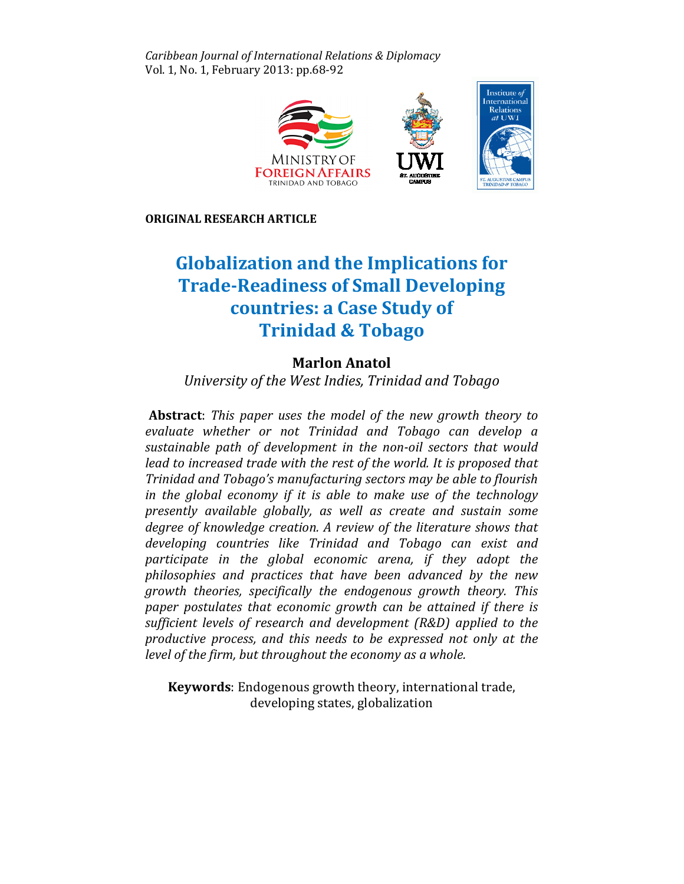Caribbean Journal of International Relations & Diplomacy Vol. 1, No. 1, February 2013: pp.68-92



ORIGINAL RESEARCH ARTICLE

# Globalization and the Implications for Trade-Readiness of Small Developing countries: a Case Study of Trinidad & Tobago **Zation and the Implications<br>Readiness of Small Developi**<br>Countries: a Case Study of<br>Trinidad & Tobago

## Marlon Anatol Marlon

University of the West Indies, Trinidad and Tobago

Abstract: This paper uses the model of the new growth theory to evaluate whether or not Trinidad and Tobago can develop a sustainable path of development in the non-oil sectors that would lead to increased trade with the rest of the world. It is proposed that Trinidad and Tobago's manufacturing sectors may be able to flourish flourish in the global economy if it is able to make use of the technology presently available globally, as well as create and sustain some degree of knowledge creation. A review of the literature shows that developing countries like Trinidad and Tobago can exist and participate in the global economic arena, if they adopt the the philosophies and practices that have been advanced by the new growth theories, specifically the endogenous growth theory. This paper postulates that economic growth can be attained if there is sufficient levels of research and development (R&D) applied to the productive process, and this needs to be expressed not only at the level of the firm, but throughout the economy as a whole. a whole.

Keywords: Endogenous growth theory, international trade, developing states, globalization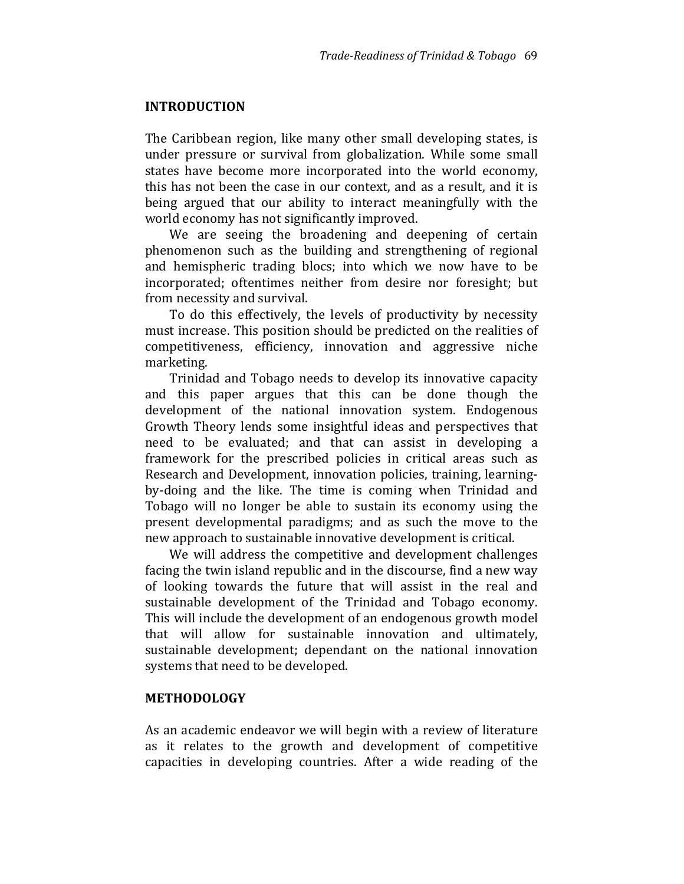#### INTRODUCTION

The Caribbean region, like many other small developing states, is under pressure or survival from globalization. While some small states have become more incorporated into the world economy, this has not been the case in our context, and as a result, and it is being argued that our ability to interact meaningfully with the world economy has not significantly improved.

We are seeing the broadening and deepening of certain phenomenon such as the building and strengthening of regional and hemispheric trading blocs; into which we now have to be incorporated; oftentimes neither from desire nor foresight; but from necessity and survival.

To do this effectively, the levels of productivity by necessity must increase. This position should be predicted on the realities of competitiveness, efficiency, innovation and aggressive niche marketing.

Trinidad and Tobago needs to develop its innovative capacity and this paper argues that this can be done though the development of the national innovation system. Endogenous Growth Theory lends some insightful ideas and perspectives that need to be evaluated; and that can assist in developing a framework for the prescribed policies in critical areas such as Research and Development, innovation policies, training, learningby-doing and the like. The time is coming when Trinidad and Tobago will no longer be able to sustain its economy using the present developmental paradigms; and as such the move to the new approach to sustainable innovative development is critical.

We will address the competitive and development challenges facing the twin island republic and in the discourse, find a new way of looking towards the future that will assist in the real and sustainable development of the Trinidad and Tobago economy. This will include the development of an endogenous growth model that will allow for sustainable innovation and ultimately, sustainable development; dependant on the national innovation systems that need to be developed.

#### METHODOLOGY

As an academic endeavor we will begin with a review of literature as it relates to the growth and development of competitive capacities in developing countries. After a wide reading of the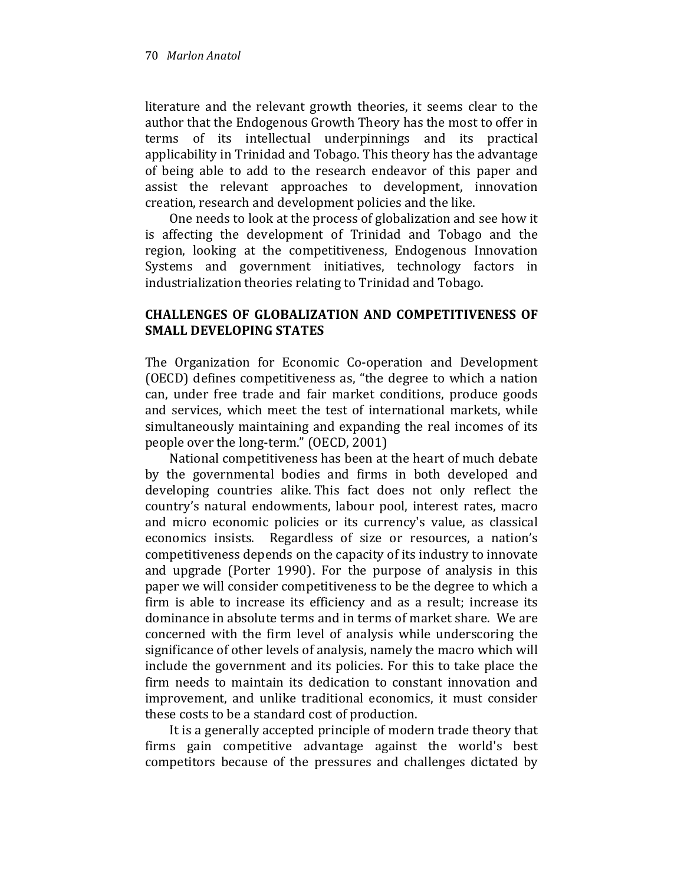literature and the relevant growth theories, it seems clear to the author that the Endogenous Growth Theory has the most to offer in terms of its intellectual underpinnings and its practical applicability in Trinidad and Tobago. This theory has the advantage of being able to add to the research endeavor of this paper and assist the relevant approaches to development, innovation creation, research and development policies and the like.

One needs to look at the process of globalization and see how it is affecting the development of Trinidad and Tobago and the region, looking at the competitiveness, Endogenous Innovation Systems and government initiatives, technology factors in industrialization theories relating to Trinidad and Tobago.

## CHALLENGES OF GLOBALIZATION AND COMPETITIVENESS OF SMALL DEVELOPING STATES

The Organization for Economic Co-operation and Development (OECD) defines competitiveness as, "the degree to which a nation can, under free trade and fair market conditions, produce goods and services, which meet the test of international markets, while simultaneously maintaining and expanding the real incomes of its people over the long-term." (OECD, 2001)

National competitiveness has been at the heart of much debate by the governmental bodies and firms in both developed and developing countries alike. This fact does not only reflect the country's natural endowments, labour pool, interest rates, macro and micro economic policies or its currency's value, as classical economics insists. Regardless of size or resources, a nation's competitiveness depends on the capacity of its industry to innovate and upgrade (Porter 1990). For the purpose of analysis in this paper we will consider competitiveness to be the degree to which a firm is able to increase its efficiency and as a result; increase its dominance in absolute terms and in terms of market share. We are concerned with the firm level of analysis while underscoring the significance of other levels of analysis, namely the macro which will include the government and its policies. For this to take place the firm needs to maintain its dedication to constant innovation and improvement, and unlike traditional economics, it must consider these costs to be a standard cost of production.

It is a generally accepted principle of modern trade theory that firms gain competitive advantage against the world's best competitors because of the pressures and challenges dictated by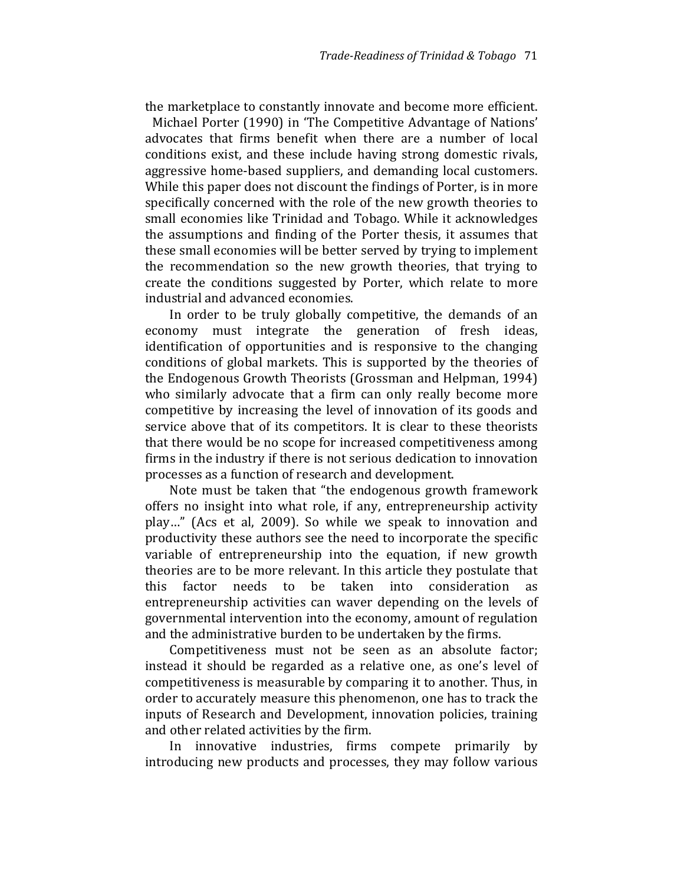the marketplace to constantly innovate and become more efficient.

 Michael Porter (1990) in 'The Competitive Advantage of Nations' advocates that firms benefit when there are a number of local conditions exist, and these include having strong domestic rivals, aggressive home-based suppliers, and demanding local customers. While this paper does not discount the findings of Porter, is in more specifically concerned with the role of the new growth theories to small economies like Trinidad and Tobago. While it acknowledges the assumptions and finding of the Porter thesis, it assumes that these small economies will be better served by trying to implement the recommendation so the new growth theories, that trying to create the conditions suggested by Porter, which relate to more industrial and advanced economies.

In order to be truly globally competitive, the demands of an economy must integrate the generation of fresh ideas, identification of opportunities and is responsive to the changing conditions of global markets. This is supported by the theories of the Endogenous Growth Theorists (Grossman and Helpman, 1994) who similarly advocate that a firm can only really become more competitive by increasing the level of innovation of its goods and service above that of its competitors. It is clear to these theorists that there would be no scope for increased competitiveness among firms in the industry if there is not serious dedication to innovation processes as a function of research and development.

Note must be taken that "the endogenous growth framework offers no insight into what role, if any, entrepreneurship activity play…" (Acs et al, 2009). So while we speak to innovation and productivity these authors see the need to incorporate the specific variable of entrepreneurship into the equation, if new growth theories are to be more relevant. In this article they postulate that this factor needs to be taken into consideration as entrepreneurship activities can waver depending on the levels of governmental intervention into the economy, amount of regulation and the administrative burden to be undertaken by the firms.

Competitiveness must not be seen as an absolute factor; instead it should be regarded as a relative one, as one's level of competitiveness is measurable by comparing it to another. Thus, in order to accurately measure this phenomenon, one has to track the inputs of Research and Development, innovation policies, training and other related activities by the firm.

In innovative industries, firms compete primarily by introducing new products and processes, they may follow various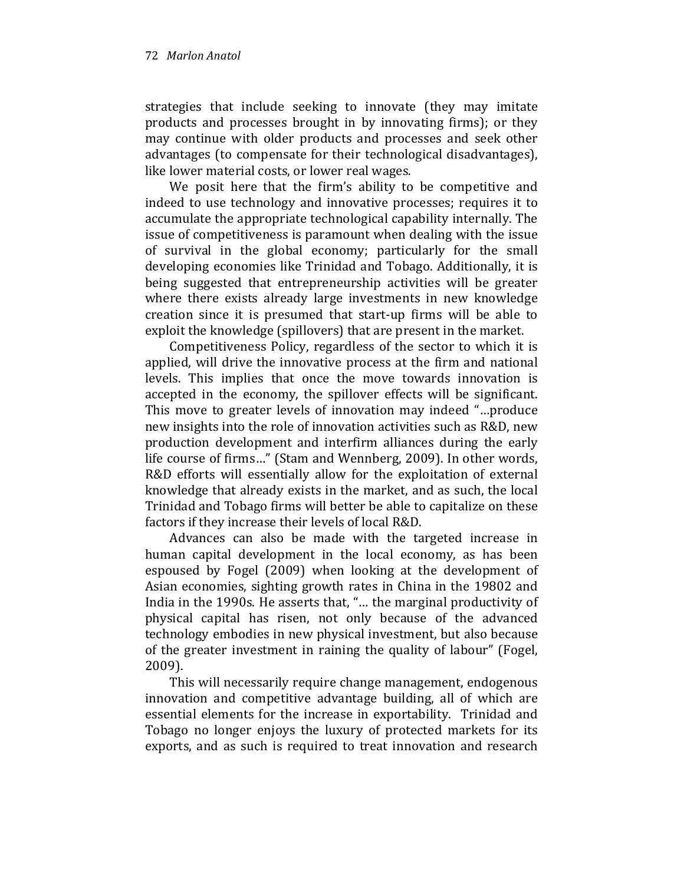strategies that include seeking to innovate (they may imitate products and processes brought in by innovating firms); or they may continue with older products and processes and seek other advantages (to compensate for their technological disadvantages), like lower material costs, or lower real wages.

We posit here that the firm's ability to be competitive and indeed to use technology and innovative processes; requires it to accumulate the appropriate technological capability internally. The issue of competitiveness is paramount when dealing with the issue of survival in the global economy; particularly for the small developing economies like Trinidad and Tobago. Additionally, it is being suggested that entrepreneurship activities will be greater where there exists already large investments in new knowledge creation since it is presumed that start-up firms will be able to exploit the knowledge (spillovers) that are present in the market.

Competitiveness Policy, regardless of the sector to which it is applied, will drive the innovative process at the firm and national levels. This implies that once the move towards innovation is accepted in the economy, the spillover effects will be significant. This move to greater levels of innovation may indeed "…produce new insights into the role of innovation activities such as R&D, new production development and interfirm alliances during the early life course of firms…" (Stam and Wennberg, 2009). In other words, R&D efforts will essentially allow for the exploitation of external knowledge that already exists in the market, and as such, the local Trinidad and Tobago firms will better be able to capitalize on these factors if they increase their levels of local R&D.

Advances can also be made with the targeted increase in human capital development in the local economy, as has been espoused by Fogel (2009) when looking at the development of Asian economies, sighting growth rates in China in the 19802 and India in the 1990s. He asserts that, "… the marginal productivity of physical capital has risen, not only because of the advanced technology embodies in new physical investment, but also because of the greater investment in raining the quality of labour" (Fogel, 2009).

This will necessarily require change management, endogenous innovation and competitive advantage building, all of which are essential elements for the increase in exportability. Trinidad and Tobago no longer enjoys the luxury of protected markets for its exports, and as such is required to treat innovation and research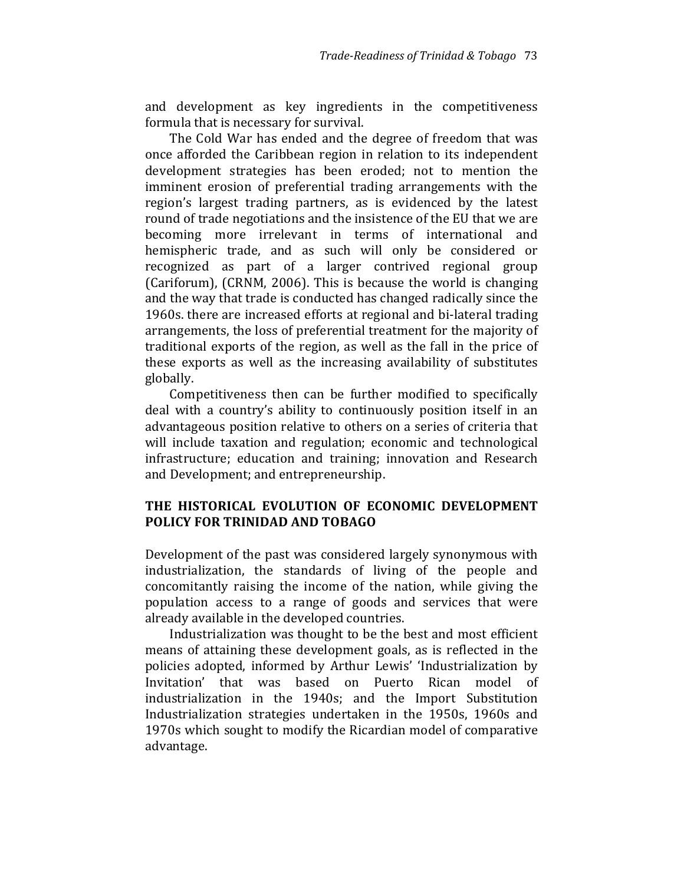and development as key ingredients in the competitiveness formula that is necessary for survival.

The Cold War has ended and the degree of freedom that was once afforded the Caribbean region in relation to its independent development strategies has been eroded; not to mention the imminent erosion of preferential trading arrangements with the region's largest trading partners, as is evidenced by the latest round of trade negotiations and the insistence of the EU that we are becoming more irrelevant in terms of international and hemispheric trade, and as such will only be considered or recognized as part of a larger contrived regional group (Cariforum), (CRNM, 2006). This is because the world is changing and the way that trade is conducted has changed radically since the 1960s. there are increased efforts at regional and bi-lateral trading arrangements, the loss of preferential treatment for the majority of traditional exports of the region, as well as the fall in the price of these exports as well as the increasing availability of substitutes globally.

Competitiveness then can be further modified to specifically deal with a country's ability to continuously position itself in an advantageous position relative to others on a series of criteria that will include taxation and regulation; economic and technological infrastructure; education and training; innovation and Research and Development; and entrepreneurship.

## THE HISTORICAL EVOLUTION OF ECONOMIC DEVELOPMENT POLICY FOR TRINIDAD AND TOBAGO

Development of the past was considered largely synonymous with industrialization, the standards of living of the people and concomitantly raising the income of the nation, while giving the population access to a range of goods and services that were already available in the developed countries.

Industrialization was thought to be the best and most efficient means of attaining these development goals, as is reflected in the policies adopted, informed by Arthur Lewis' 'Industrialization by Invitation' that was based on Puerto Rican model of industrialization in the 1940s; and the Import Substitution Industrialization strategies undertaken in the 1950s, 1960s and 1970s which sought to modify the Ricardian model of comparative advantage.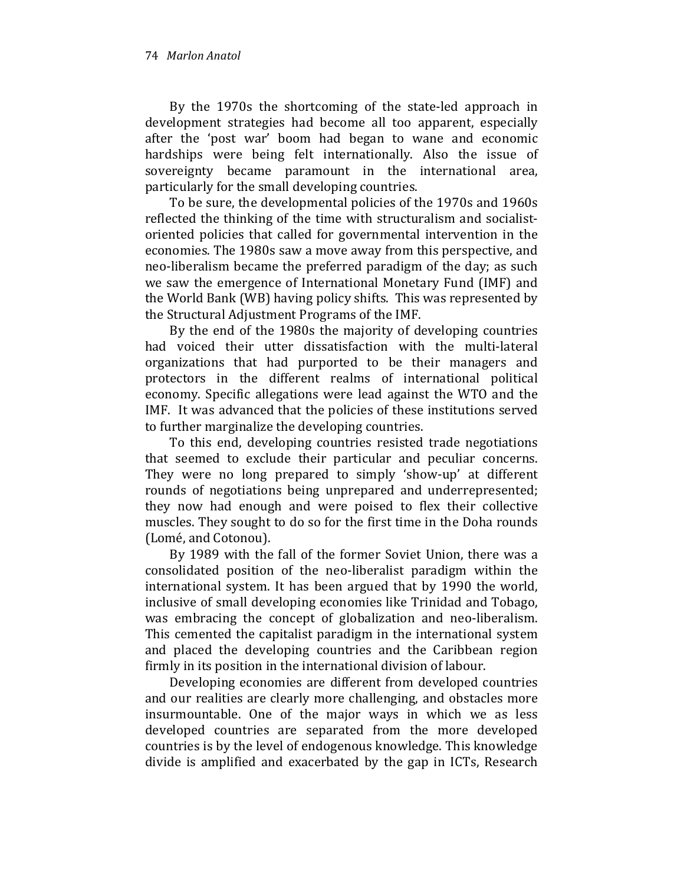By the 1970s the shortcoming of the state-led approach in development strategies had become all too apparent, especially after the 'post war' boom had began to wane and economic hardships were being felt internationally. Also the issue of sovereignty became paramount in the international area, particularly for the small developing countries.

To be sure, the developmental policies of the 1970s and 1960s reflected the thinking of the time with structuralism and socialistoriented policies that called for governmental intervention in the economies. The 1980s saw a move away from this perspective, and neo-liberalism became the preferred paradigm of the day; as such we saw the emergence of International Monetary Fund (IMF) and the World Bank (WB) having policy shifts. This was represented by the Structural Adjustment Programs of the IMF.

By the end of the 1980s the majority of developing countries had voiced their utter dissatisfaction with the multi-lateral organizations that had purported to be their managers and protectors in the different realms of international political economy. Specific allegations were lead against the WTO and the IMF. It was advanced that the policies of these institutions served to further marginalize the developing countries.

To this end, developing countries resisted trade negotiations that seemed to exclude their particular and peculiar concerns. They were no long prepared to simply 'show-up' at different rounds of negotiations being unprepared and underrepresented; they now had enough and were poised to flex their collective muscles. They sought to do so for the first time in the Doha rounds (Lomé, and Cotonou).

By 1989 with the fall of the former Soviet Union, there was a consolidated position of the neo-liberalist paradigm within the international system. It has been argued that by 1990 the world, inclusive of small developing economies like Trinidad and Tobago, was embracing the concept of globalization and neo-liberalism. This cemented the capitalist paradigm in the international system and placed the developing countries and the Caribbean region firmly in its position in the international division of labour.

Developing economies are different from developed countries and our realities are clearly more challenging, and obstacles more insurmountable. One of the major ways in which we as less developed countries are separated from the more developed countries is by the level of endogenous knowledge. This knowledge divide is amplified and exacerbated by the gap in ICTs, Research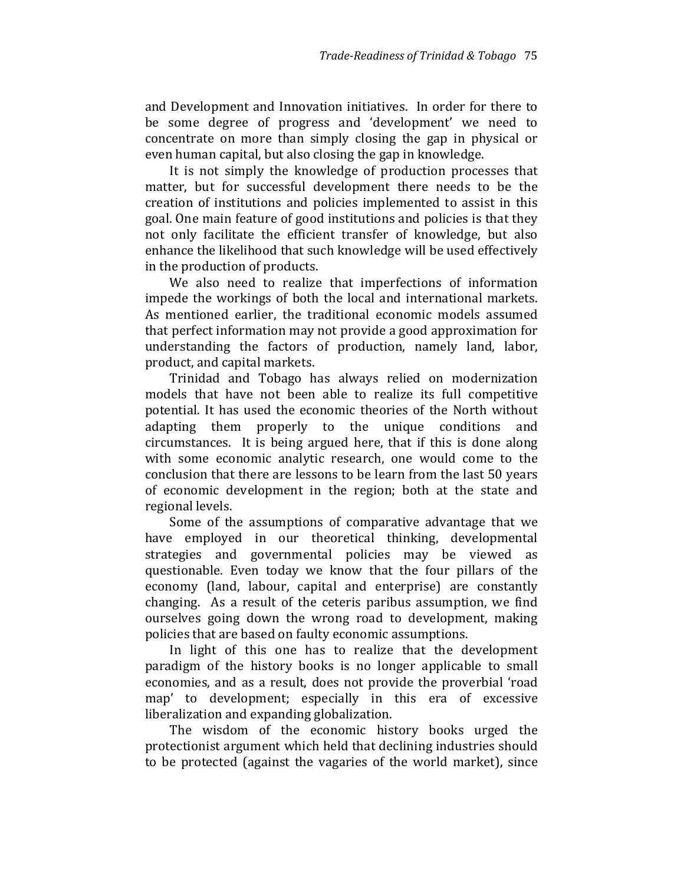and Development and Innovation initiatives. In order for there to be some degree of progress and 'development' we need to concentrate on more than simply closing the gap in physical or even human capital, but also closing the gap in knowledge.

It is not simply the knowledge of production processes that matter, but for successful development there needs to be the creation of institutions and policies implemented to assist in this goal. One main feature of good institutions and policies is that they not only facilitate the efficient transfer of knowledge, but also enhance the likelihood that such knowledge will be used effectively in the production of products.

We also need to realize that imperfections of information impede the workings of both the local and international markets. As mentioned earlier, the traditional economic models assumed that perfect information may not provide a good approximation for understanding the factors of production, namely land, labor, product, and capital markets.

Trinidad and Tobago has always relied on modernization models that have not been able to realize its full competitive potential. It has used the economic theories of the North without adapting them properly to the unique conditions and circumstances. It is being argued here, that if this is done along with some economic analytic research, one would come to the conclusion that there are lessons to be learn from the last 50 years of economic development in the region; both at the state and regional levels.

Some of the assumptions of comparative advantage that we have employed in our theoretical thinking, developmental strategies and governmental policies may be viewed as questionable. Even today we know that the four pillars of the economy (land, labour, capital and enterprise) are constantly changing. As a result of the ceteris paribus assumption, we find ourselves going down the wrong road to development, making policies that are based on faulty economic assumptions.

In light of this one has to realize that the development paradigm of the history books is no longer applicable to small economies, and as a result, does not provide the proverbial 'road map' to development; especially in this era of excessive liberalization and expanding globalization.

The wisdom of the economic history books urged the protectionist argument which held that declining industries should to be protected (against the vagaries of the world market), since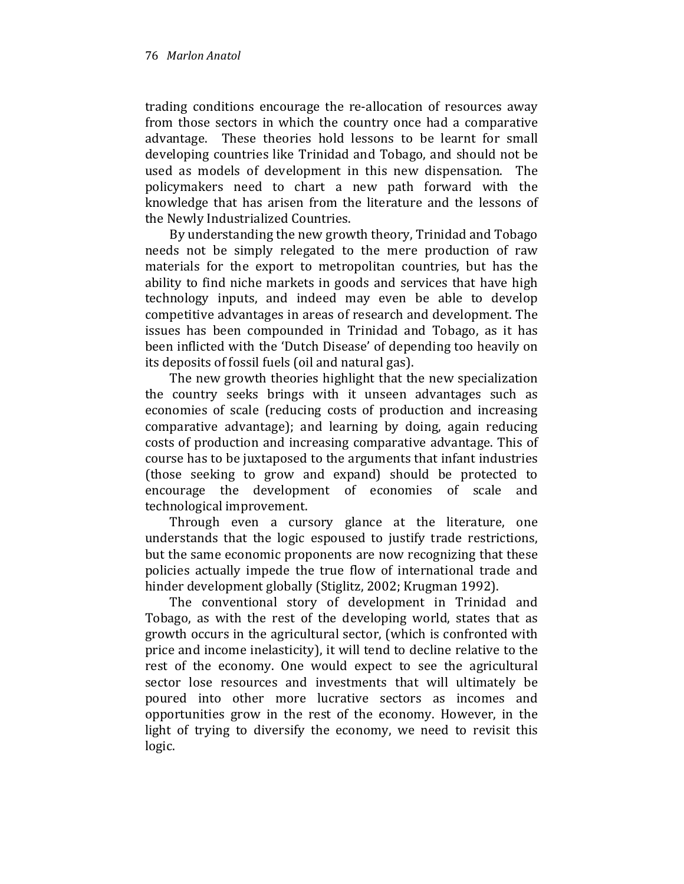trading conditions encourage the re-allocation of resources away from those sectors in which the country once had a comparative advantage. These theories hold lessons to be learnt for small developing countries like Trinidad and Tobago, and should not be used as models of development in this new dispensation. The policymakers need to chart a new path forward with the knowledge that has arisen from the literature and the lessons of the Newly Industrialized Countries.

By understanding the new growth theory, Trinidad and Tobago needs not be simply relegated to the mere production of raw materials for the export to metropolitan countries, but has the ability to find niche markets in goods and services that have high technology inputs, and indeed may even be able to develop competitive advantages in areas of research and development. The issues has been compounded in Trinidad and Tobago, as it has been inflicted with the 'Dutch Disease' of depending too heavily on its deposits of fossil fuels (oil and natural gas).

The new growth theories highlight that the new specialization the country seeks brings with it unseen advantages such as economies of scale (reducing costs of production and increasing comparative advantage); and learning by doing, again reducing costs of production and increasing comparative advantage. This of course has to be juxtaposed to the arguments that infant industries (those seeking to grow and expand) should be protected to encourage the development of economies of scale and technological improvement.

Through even a cursory glance at the literature, one understands that the logic espoused to justify trade restrictions, but the same economic proponents are now recognizing that these policies actually impede the true flow of international trade and hinder development globally (Stiglitz, 2002; Krugman 1992).

The conventional story of development in Trinidad and Tobago, as with the rest of the developing world, states that as growth occurs in the agricultural sector, (which is confronted with price and income inelasticity), it will tend to decline relative to the rest of the economy. One would expect to see the agricultural sector lose resources and investments that will ultimately be poured into other more lucrative sectors as incomes and opportunities grow in the rest of the economy. However, in the light of trying to diversify the economy, we need to revisit this logic.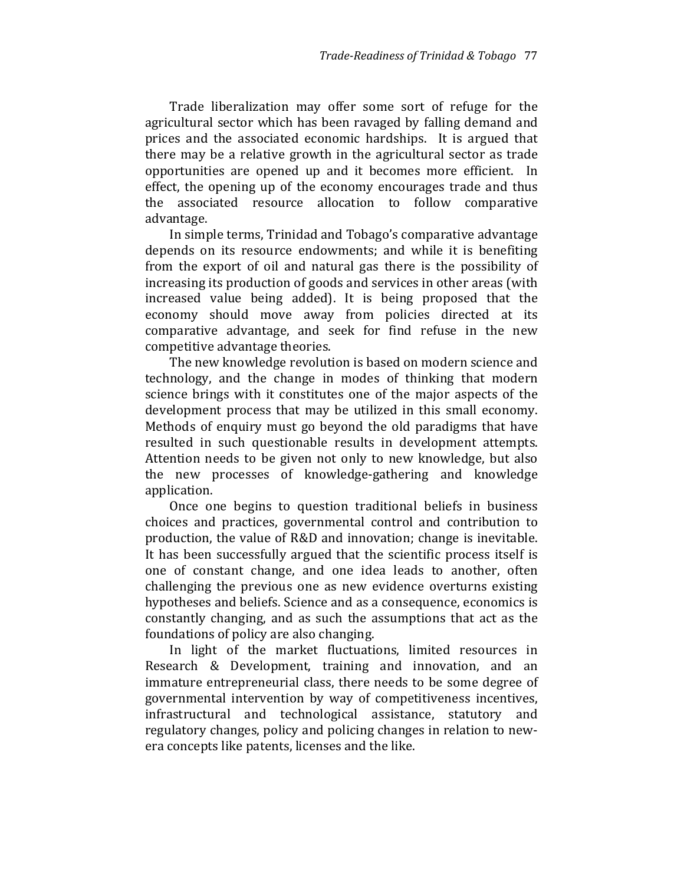Trade liberalization may offer some sort of refuge for the agricultural sector which has been ravaged by falling demand and prices and the associated economic hardships. It is argued that there may be a relative growth in the agricultural sector as trade opportunities are opened up and it becomes more efficient. In effect, the opening up of the economy encourages trade and thus the associated resource allocation to follow comparative advantage.

In simple terms, Trinidad and Tobago's comparative advantage depends on its resource endowments; and while it is benefiting from the export of oil and natural gas there is the possibility of increasing its production of goods and services in other areas (with increased value being added). It is being proposed that the economy should move away from policies directed at its comparative advantage, and seek for find refuse in the new competitive advantage theories.

The new knowledge revolution is based on modern science and technology, and the change in modes of thinking that modern science brings with it constitutes one of the major aspects of the development process that may be utilized in this small economy. Methods of enquiry must go beyond the old paradigms that have resulted in such questionable results in development attempts. Attention needs to be given not only to new knowledge, but also the new processes of knowledge-gathering and knowledge application.

Once one begins to question traditional beliefs in business choices and practices, governmental control and contribution to production, the value of R&D and innovation; change is inevitable. It has been successfully argued that the scientific process itself is one of constant change, and one idea leads to another, often challenging the previous one as new evidence overturns existing hypotheses and beliefs. Science and as a consequence, economics is constantly changing, and as such the assumptions that act as the foundations of policy are also changing.

In light of the market fluctuations, limited resources in Research & Development, training and innovation, and an immature entrepreneurial class, there needs to be some degree of governmental intervention by way of competitiveness incentives, infrastructural and technological assistance, statutory and regulatory changes, policy and policing changes in relation to newera concepts like patents, licenses and the like.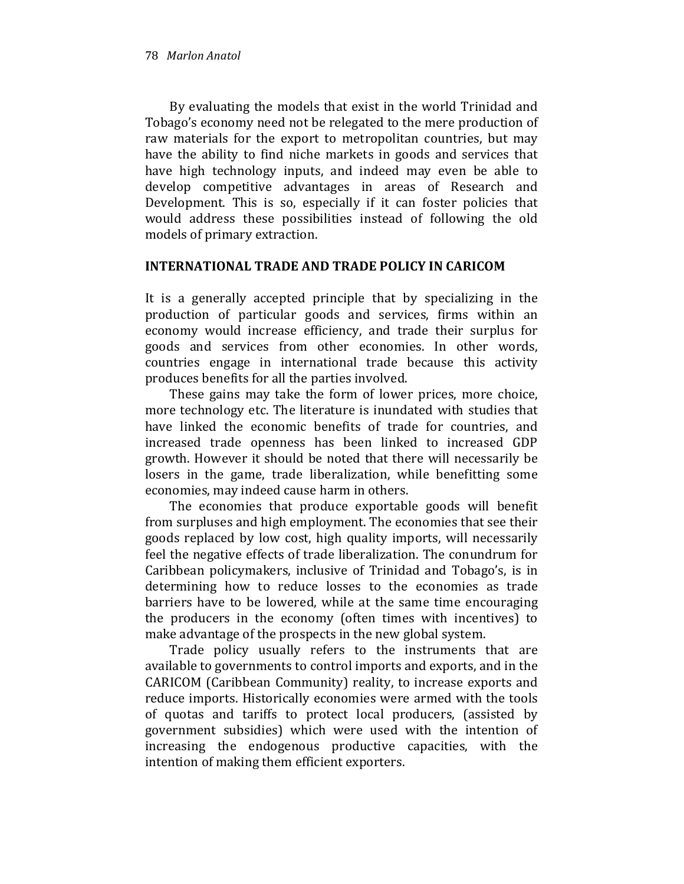By evaluating the models that exist in the world Trinidad and Tobago's economy need not be relegated to the mere production of raw materials for the export to metropolitan countries, but may have the ability to find niche markets in goods and services that have high technology inputs, and indeed may even be able to develop competitive advantages in areas of Research and Development. This is so, especially if it can foster policies that would address these possibilities instead of following the old models of primary extraction.

### INTERNATIONAL TRADE AND TRADE POLICY IN CARICOM

It is a generally accepted principle that by specializing in the production of particular goods and services, firms within an economy would increase efficiency, and trade their surplus for goods and services from other economies. In other words, countries engage in international trade because this activity produces benefits for all the parties involved.

These gains may take the form of lower prices, more choice, more technology etc. The literature is inundated with studies that have linked the economic benefits of trade for countries, and increased trade openness has been linked to increased GDP growth. However it should be noted that there will necessarily be losers in the game, trade liberalization, while benefitting some economies, may indeed cause harm in others.

The economies that produce exportable goods will benefit from surpluses and high employment. The economies that see their goods replaced by low cost, high quality imports, will necessarily feel the negative effects of trade liberalization. The conundrum for Caribbean policymakers, inclusive of Trinidad and Tobago's, is in determining how to reduce losses to the economies as trade barriers have to be lowered, while at the same time encouraging the producers in the economy (often times with incentives) to make advantage of the prospects in the new global system.

Trade policy usually refers to the instruments that are available to governments to control imports and exports, and in the CARICOM (Caribbean Community) reality, to increase exports and reduce imports. Historically economies were armed with the tools of quotas and tariffs to protect local producers, (assisted by government subsidies) which were used with the intention of increasing the endogenous productive capacities, with the intention of making them efficient exporters.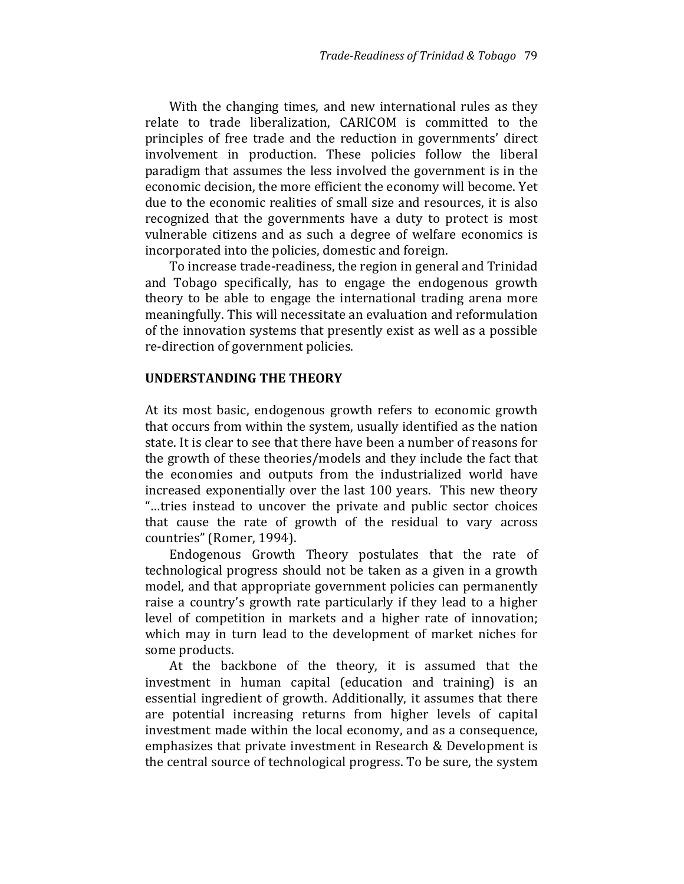With the changing times, and new international rules as they relate to trade liberalization, CARICOM is committed to the principles of free trade and the reduction in governments' direct involvement in production. These policies follow the liberal paradigm that assumes the less involved the government is in the economic decision, the more efficient the economy will become. Yet due to the economic realities of small size and resources, it is also recognized that the governments have a duty to protect is most vulnerable citizens and as such a degree of welfare economics is incorporated into the policies, domestic and foreign.

To increase trade-readiness, the region in general and Trinidad and Tobago specifically, has to engage the endogenous growth theory to be able to engage the international trading arena more meaningfully. This will necessitate an evaluation and reformulation of the innovation systems that presently exist as well as a possible re-direction of government policies.

### UNDERSTANDING THE THEORY

At its most basic, endogenous growth refers to economic growth that occurs from within the system, usually identified as the nation state. It is clear to see that there have been a number of reasons for the growth of these theories/models and they include the fact that the economies and outputs from the industrialized world have increased exponentially over the last 100 years. This new theory "…tries instead to uncover the private and public sector choices that cause the rate of growth of the residual to vary across countries" (Romer, 1994).

Endogenous Growth Theory postulates that the rate of technological progress should not be taken as a given in a growth model, and that appropriate government policies can permanently raise a country's growth rate particularly if they lead to a higher level of competition in markets and a higher rate of innovation; which may in turn lead to the development of market niches for some products.

At the backbone of the theory, it is assumed that the investment in human capital (education and training) is an essential ingredient of growth. Additionally, it assumes that there are potential increasing returns from higher levels of capital investment made within the local economy, and as a consequence, emphasizes that private investment in Research & Development is the central source of technological progress. To be sure, the system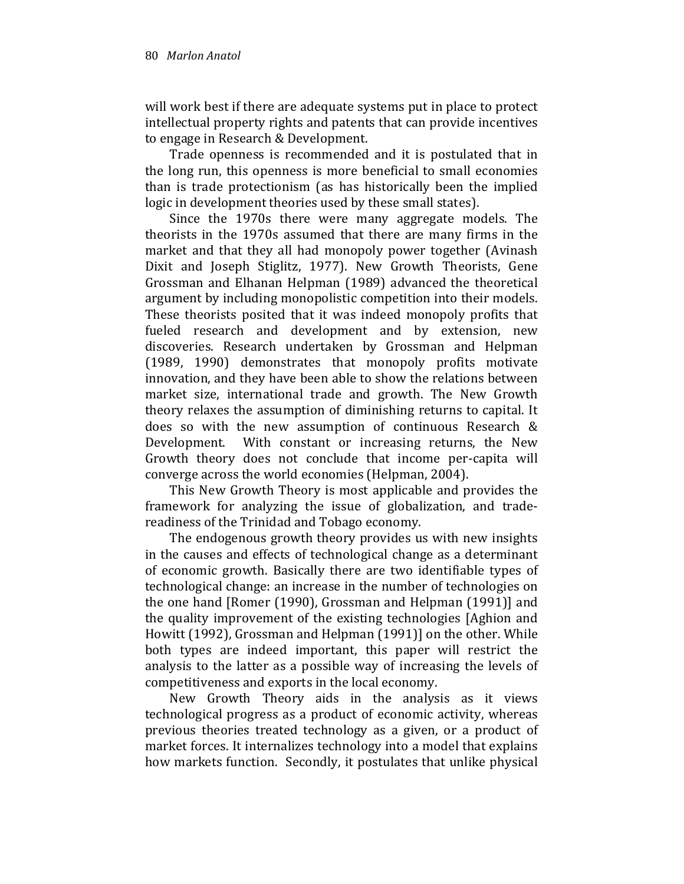will work best if there are adequate systems put in place to protect intellectual property rights and patents that can provide incentives to engage in Research & Development.

Trade openness is recommended and it is postulated that in the long run, this openness is more beneficial to small economies than is trade protectionism (as has historically been the implied logic in development theories used by these small states).

Since the 1970s there were many aggregate models. The theorists in the 1970s assumed that there are many firms in the market and that they all had monopoly power together (Avinash Dixit and Joseph Stiglitz, 1977). New Growth Theorists, Gene Grossman and Elhanan Helpman (1989) advanced the theoretical argument by including monopolistic competition into their models. These theorists posited that it was indeed monopoly profits that fueled research and development and by extension, new discoveries. Research undertaken by Grossman and Helpman (1989, 1990) demonstrates that monopoly profits motivate innovation, and they have been able to show the relations between market size, international trade and growth. The New Growth theory relaxes the assumption of diminishing returns to capital. It does so with the new assumption of continuous Research & Development. With constant or increasing returns, the New Growth theory does not conclude that income per-capita will converge across the world economies (Helpman, 2004).

This New Growth Theory is most applicable and provides the framework for analyzing the issue of globalization, and tradereadiness of the Trinidad and Tobago economy.

The endogenous growth theory provides us with new insights in the causes and effects of technological change as a determinant of economic growth. Basically there are two identifiable types of technological change: an increase in the number of technologies on the one hand [Romer (1990), Grossman and Helpman (1991)] and the quality improvement of the existing technologies [Aghion and Howitt (1992), Grossman and Helpman (1991)] on the other. While both types are indeed important, this paper will restrict the analysis to the latter as a possible way of increasing the levels of competitiveness and exports in the local economy.

New Growth Theory aids in the analysis as it views technological progress as a product of economic activity, whereas previous theories treated technology as a given, or a product of market forces. It internalizes technology into a model that explains how markets function. Secondly, it postulates that unlike physical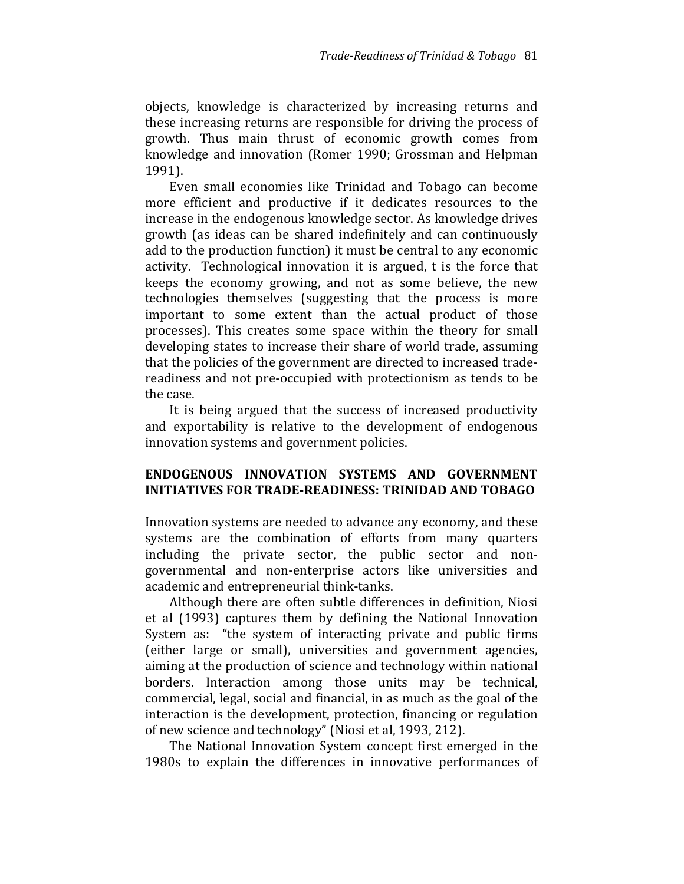objects, knowledge is characterized by increasing returns and these increasing returns are responsible for driving the process of growth. Thus main thrust of economic growth comes from knowledge and innovation (Romer 1990; Grossman and Helpman 1991).

Even small economies like Trinidad and Tobago can become more efficient and productive if it dedicates resources to the increase in the endogenous knowledge sector. As knowledge drives growth (as ideas can be shared indefinitely and can continuously add to the production function) it must be central to any economic activity. Technological innovation it is argued, t is the force that keeps the economy growing, and not as some believe, the new technologies themselves (suggesting that the process is more important to some extent than the actual product of those processes). This creates some space within the theory for small developing states to increase their share of world trade, assuming that the policies of the government are directed to increased tradereadiness and not pre-occupied with protectionism as tends to be the case.

It is being argued that the success of increased productivity and exportability is relative to the development of endogenous innovation systems and government policies.

## ENDOGENOUS INNOVATION SYSTEMS AND GOVERNMENT INITIATIVES FOR TRADE-READINESS: TRINIDAD AND TOBAGO

Innovation systems are needed to advance any economy, and these systems are the combination of efforts from many quarters including the private sector, the public sector and nongovernmental and non-enterprise actors like universities and academic and entrepreneurial think-tanks.

Although there are often subtle differences in definition, Niosi et al (1993) captures them by defining the National Innovation System as: "the system of interacting private and public firms (either large or small), universities and government agencies, aiming at the production of science and technology within national borders. Interaction among those units may be technical, commercial, legal, social and financial, in as much as the goal of the interaction is the development, protection, financing or regulation of new science and technology" (Niosi et al, 1993, 212).

The National Innovation System concept first emerged in the 1980s to explain the differences in innovative performances of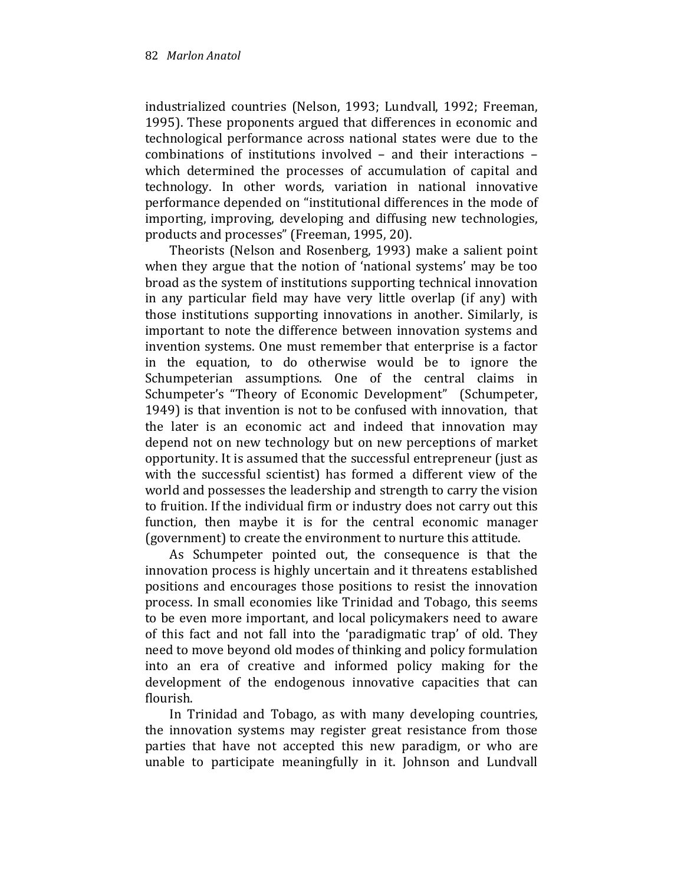industrialized countries (Nelson, 1993; Lundvall, 1992; Freeman, 1995). These proponents argued that differences in economic and technological performance across national states were due to the combinations of institutions involved – and their interactions – which determined the processes of accumulation of capital and technology. In other words, variation in national innovative performance depended on "institutional differences in the mode of importing, improving, developing and diffusing new technologies, products and processes" (Freeman, 1995, 20).

Theorists (Nelson and Rosenberg, 1993) make a salient point when they argue that the notion of 'national systems' may be too broad as the system of institutions supporting technical innovation in any particular field may have very little overlap (if any) with those institutions supporting innovations in another. Similarly, is important to note the difference between innovation systems and invention systems. One must remember that enterprise is a factor in the equation, to do otherwise would be to ignore the Schumpeterian assumptions. One of the central claims in Schumpeter's "Theory of Economic Development" (Schumpeter, 1949) is that invention is not to be confused with innovation, that the later is an economic act and indeed that innovation may depend not on new technology but on new perceptions of market opportunity. It is assumed that the successful entrepreneur (just as with the successful scientist) has formed a different view of the world and possesses the leadership and strength to carry the vision to fruition. If the individual firm or industry does not carry out this function, then maybe it is for the central economic manager (government) to create the environment to nurture this attitude.

As Schumpeter pointed out, the consequence is that the innovation process is highly uncertain and it threatens established positions and encourages those positions to resist the innovation process. In small economies like Trinidad and Tobago, this seems to be even more important, and local policymakers need to aware of this fact and not fall into the 'paradigmatic trap' of old. They need to move beyond old modes of thinking and policy formulation into an era of creative and informed policy making for the development of the endogenous innovative capacities that can flourish.

In Trinidad and Tobago, as with many developing countries, the innovation systems may register great resistance from those parties that have not accepted this new paradigm, or who are unable to participate meaningfully in it. Johnson and Lundvall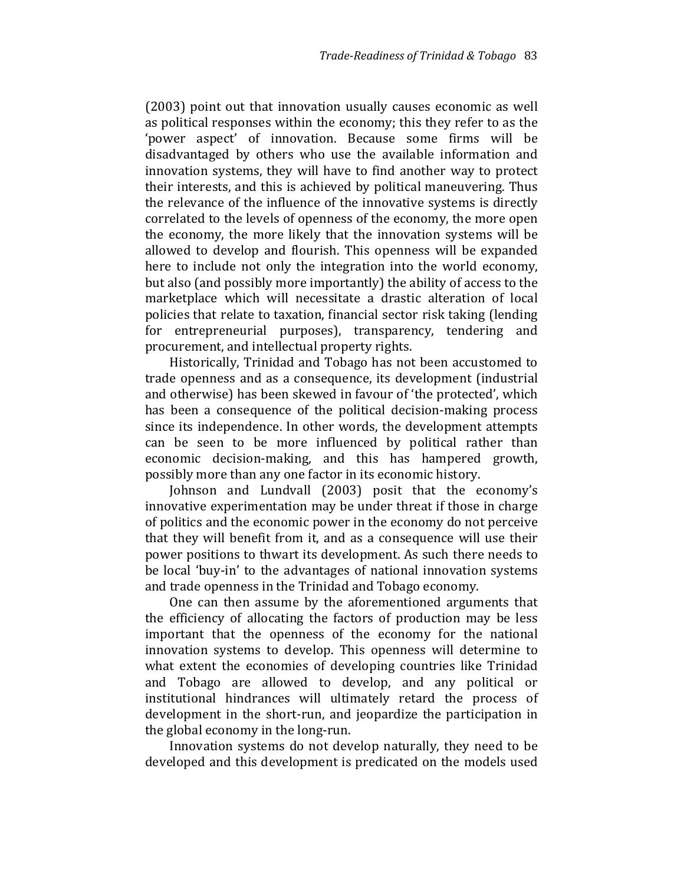(2003) point out that innovation usually causes economic as well as political responses within the economy; this they refer to as the 'power aspect' of innovation. Because some firms will be disadvantaged by others who use the available information and innovation systems, they will have to find another way to protect their interests, and this is achieved by political maneuvering. Thus the relevance of the influence of the innovative systems is directly correlated to the levels of openness of the economy, the more open the economy, the more likely that the innovation systems will be allowed to develop and flourish. This openness will be expanded here to include not only the integration into the world economy, but also (and possibly more importantly) the ability of access to the marketplace which will necessitate a drastic alteration of local policies that relate to taxation, financial sector risk taking (lending for entrepreneurial purposes), transparency, tendering and procurement, and intellectual property rights.

Historically, Trinidad and Tobago has not been accustomed to trade openness and as a consequence, its development (industrial and otherwise) has been skewed in favour of 'the protected', which has been a consequence of the political decision-making process since its independence. In other words, the development attempts can be seen to be more influenced by political rather than economic decision-making, and this has hampered growth, possibly more than any one factor in its economic history.

Johnson and Lundvall (2003) posit that the economy's innovative experimentation may be under threat if those in charge of politics and the economic power in the economy do not perceive that they will benefit from it, and as a consequence will use their power positions to thwart its development. As such there needs to be local 'buy-in' to the advantages of national innovation systems and trade openness in the Trinidad and Tobago economy.

One can then assume by the aforementioned arguments that the efficiency of allocating the factors of production may be less important that the openness of the economy for the national innovation systems to develop. This openness will determine to what extent the economies of developing countries like Trinidad and Tobago are allowed to develop, and any political or institutional hindrances will ultimately retard the process of development in the short-run, and jeopardize the participation in the global economy in the long-run.

Innovation systems do not develop naturally, they need to be developed and this development is predicated on the models used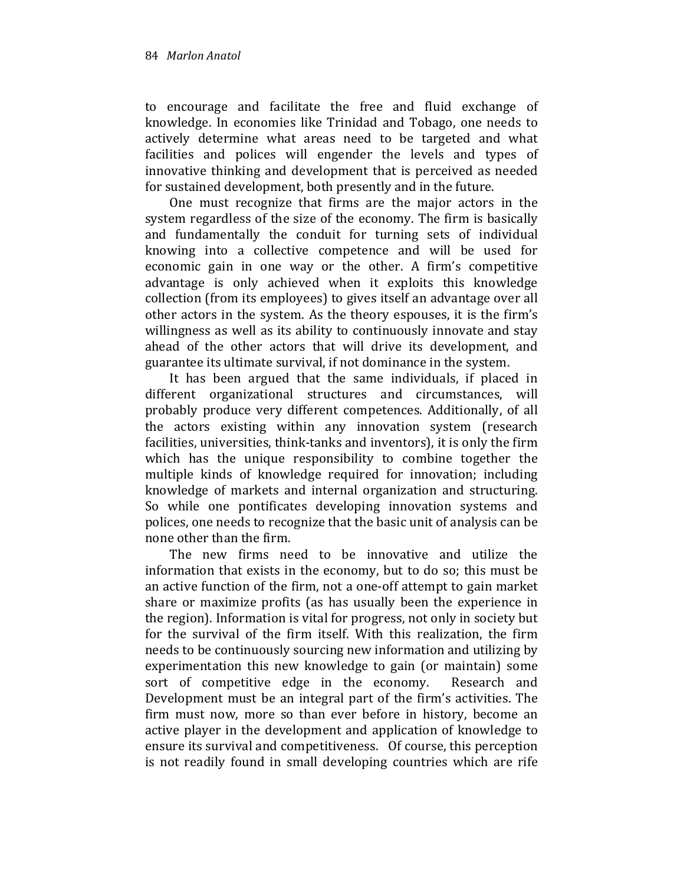to encourage and facilitate the free and fluid exchange of knowledge. In economies like Trinidad and Tobago, one needs to actively determine what areas need to be targeted and what facilities and polices will engender the levels and types of innovative thinking and development that is perceived as needed for sustained development, both presently and in the future.

One must recognize that firms are the major actors in the system regardless of the size of the economy. The firm is basically and fundamentally the conduit for turning sets of individual knowing into a collective competence and will be used for economic gain in one way or the other. A firm's competitive advantage is only achieved when it exploits this knowledge collection (from its employees) to gives itself an advantage over all other actors in the system. As the theory espouses, it is the firm's willingness as well as its ability to continuously innovate and stay ahead of the other actors that will drive its development, and guarantee its ultimate survival, if not dominance in the system.

It has been argued that the same individuals, if placed in different organizational structures and circumstances, will probably produce very different competences. Additionally, of all the actors existing within any innovation system (research facilities, universities, think-tanks and inventors), it is only the firm which has the unique responsibility to combine together the multiple kinds of knowledge required for innovation; including knowledge of markets and internal organization and structuring. So while one pontificates developing innovation systems and polices, one needs to recognize that the basic unit of analysis can be none other than the firm.

The new firms need to be innovative and utilize the information that exists in the economy, but to do so; this must be an active function of the firm, not a one-off attempt to gain market share or maximize profits (as has usually been the experience in the region). Information is vital for progress, not only in society but for the survival of the firm itself. With this realization, the firm needs to be continuously sourcing new information and utilizing by experimentation this new knowledge to gain (or maintain) some sort of competitive edge in the economy. Research and Development must be an integral part of the firm's activities. The firm must now, more so than ever before in history, become an active player in the development and application of knowledge to ensure its survival and competitiveness. Of course, this perception is not readily found in small developing countries which are rife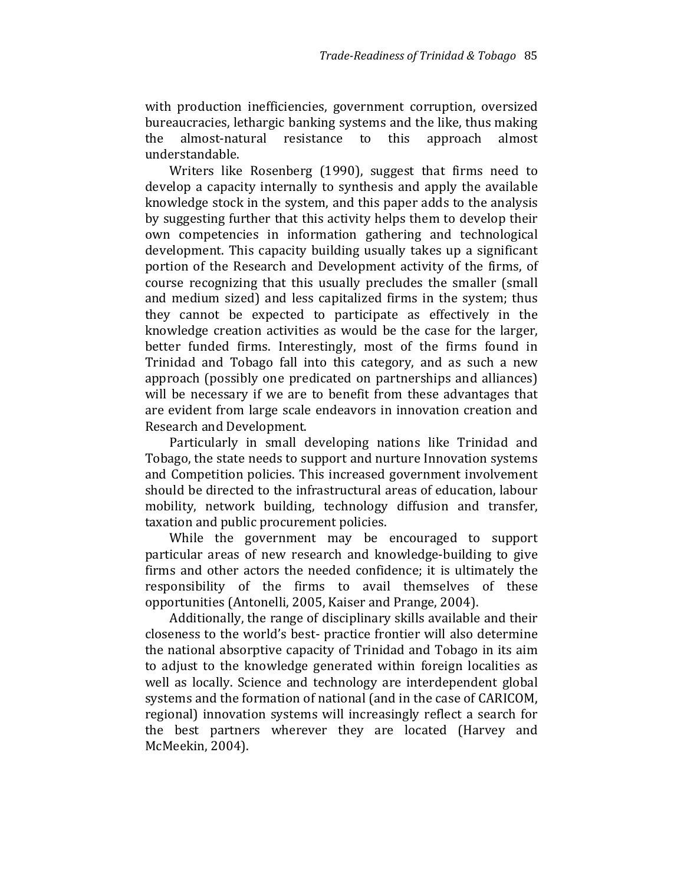with production inefficiencies, government corruption, oversized bureaucracies, lethargic banking systems and the like, thus making the almost-natural resistance to this approach almost understandable.

Writers like Rosenberg (1990), suggest that firms need to develop a capacity internally to synthesis and apply the available knowledge stock in the system, and this paper adds to the analysis by suggesting further that this activity helps them to develop their own competencies in information gathering and technological development. This capacity building usually takes up a significant portion of the Research and Development activity of the firms, of course recognizing that this usually precludes the smaller (small and medium sized) and less capitalized firms in the system; thus they cannot be expected to participate as effectively in the knowledge creation activities as would be the case for the larger, better funded firms. Interestingly, most of the firms found in Trinidad and Tobago fall into this category, and as such a new approach (possibly one predicated on partnerships and alliances) will be necessary if we are to benefit from these advantages that are evident from large scale endeavors in innovation creation and Research and Development.

Particularly in small developing nations like Trinidad and Tobago, the state needs to support and nurture Innovation systems and Competition policies. This increased government involvement should be directed to the infrastructural areas of education, labour mobility, network building, technology diffusion and transfer, taxation and public procurement policies.

While the government may be encouraged to support particular areas of new research and knowledge-building to give firms and other actors the needed confidence; it is ultimately the responsibility of the firms to avail themselves of these opportunities (Antonelli, 2005, Kaiser and Prange, 2004).

Additionally, the range of disciplinary skills available and their closeness to the world's best- practice frontier will also determine the national absorptive capacity of Trinidad and Tobago in its aim to adjust to the knowledge generated within foreign localities as well as locally. Science and technology are interdependent global systems and the formation of national (and in the case of CARICOM, regional) innovation systems will increasingly reflect a search for the best partners wherever they are located (Harvey and McMeekin, 2004).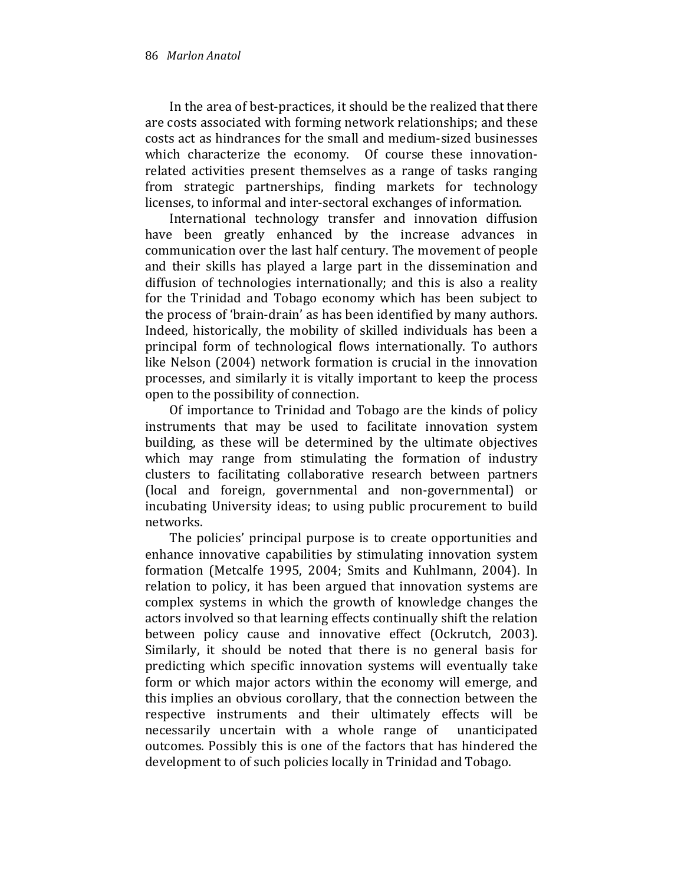In the area of best-practices, it should be the realized that there are costs associated with forming network relationships; and these costs act as hindrances for the small and medium-sized businesses which characterize the economy. Of course these innovationrelated activities present themselves as a range of tasks ranging from strategic partnerships, finding markets for technology licenses, to informal and inter-sectoral exchanges of information.

International technology transfer and innovation diffusion have been greatly enhanced by the increase advances in communication over the last half century. The movement of people and their skills has played a large part in the dissemination and diffusion of technologies internationally; and this is also a reality for the Trinidad and Tobago economy which has been subject to the process of 'brain-drain' as has been identified by many authors. Indeed, historically, the mobility of skilled individuals has been a principal form of technological flows internationally. To authors like Nelson (2004) network formation is crucial in the innovation processes, and similarly it is vitally important to keep the process open to the possibility of connection.

Of importance to Trinidad and Tobago are the kinds of policy instruments that may be used to facilitate innovation system building, as these will be determined by the ultimate objectives which may range from stimulating the formation of industry clusters to facilitating collaborative research between partners (local and foreign, governmental and non-governmental) or incubating University ideas; to using public procurement to build networks.

The policies' principal purpose is to create opportunities and enhance innovative capabilities by stimulating innovation system formation (Metcalfe 1995, 2004; Smits and Kuhlmann, 2004). In relation to policy, it has been argued that innovation systems are complex systems in which the growth of knowledge changes the actors involved so that learning effects continually shift the relation between policy cause and innovative effect (Ockrutch, 2003). Similarly, it should be noted that there is no general basis for predicting which specific innovation systems will eventually take form or which major actors within the economy will emerge, and this implies an obvious corollary, that the connection between the respective instruments and their ultimately effects will be necessarily uncertain with a whole range of unanticipated outcomes. Possibly this is one of the factors that has hindered the development to of such policies locally in Trinidad and Tobago.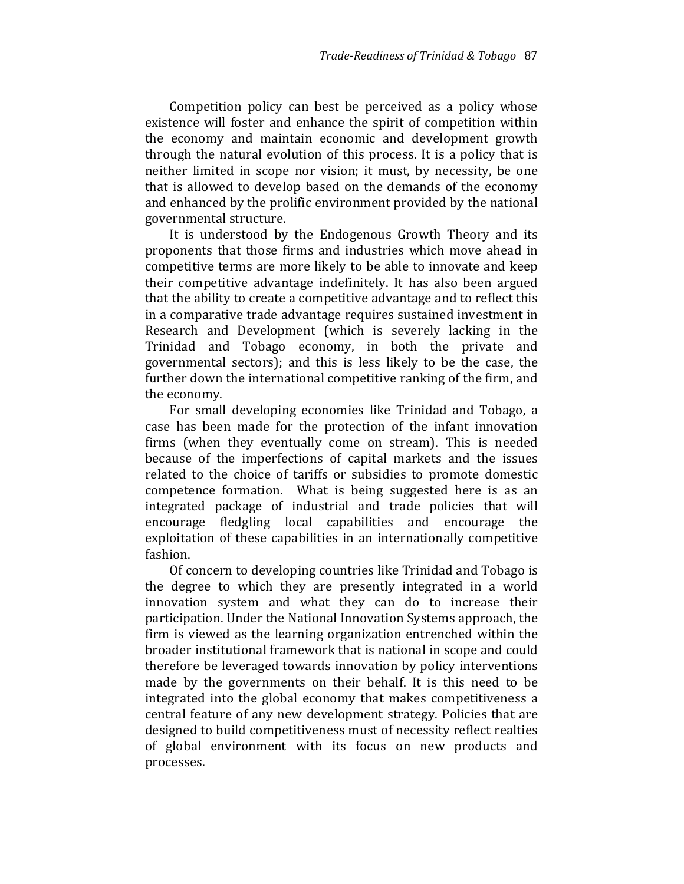Competition policy can best be perceived as a policy whose existence will foster and enhance the spirit of competition within the economy and maintain economic and development growth through the natural evolution of this process. It is a policy that is neither limited in scope nor vision; it must, by necessity, be one that is allowed to develop based on the demands of the economy and enhanced by the prolific environment provided by the national governmental structure.

It is understood by the Endogenous Growth Theory and its proponents that those firms and industries which move ahead in competitive terms are more likely to be able to innovate and keep their competitive advantage indefinitely. It has also been argued that the ability to create a competitive advantage and to reflect this in a comparative trade advantage requires sustained investment in Research and Development (which is severely lacking in the Trinidad and Tobago economy, in both the private and governmental sectors); and this is less likely to be the case, the further down the international competitive ranking of the firm, and the economy.

For small developing economies like Trinidad and Tobago, a case has been made for the protection of the infant innovation firms (when they eventually come on stream). This is needed because of the imperfections of capital markets and the issues related to the choice of tariffs or subsidies to promote domestic competence formation. What is being suggested here is as an integrated package of industrial and trade policies that will encourage fledgling local capabilities and encourage the exploitation of these capabilities in an internationally competitive fashion.

Of concern to developing countries like Trinidad and Tobago is the degree to which they are presently integrated in a world innovation system and what they can do to increase their participation. Under the National Innovation Systems approach, the firm is viewed as the learning organization entrenched within the broader institutional framework that is national in scope and could therefore be leveraged towards innovation by policy interventions made by the governments on their behalf. It is this need to be integrated into the global economy that makes competitiveness a central feature of any new development strategy. Policies that are designed to build competitiveness must of necessity reflect realties of global environment with its focus on new products and processes.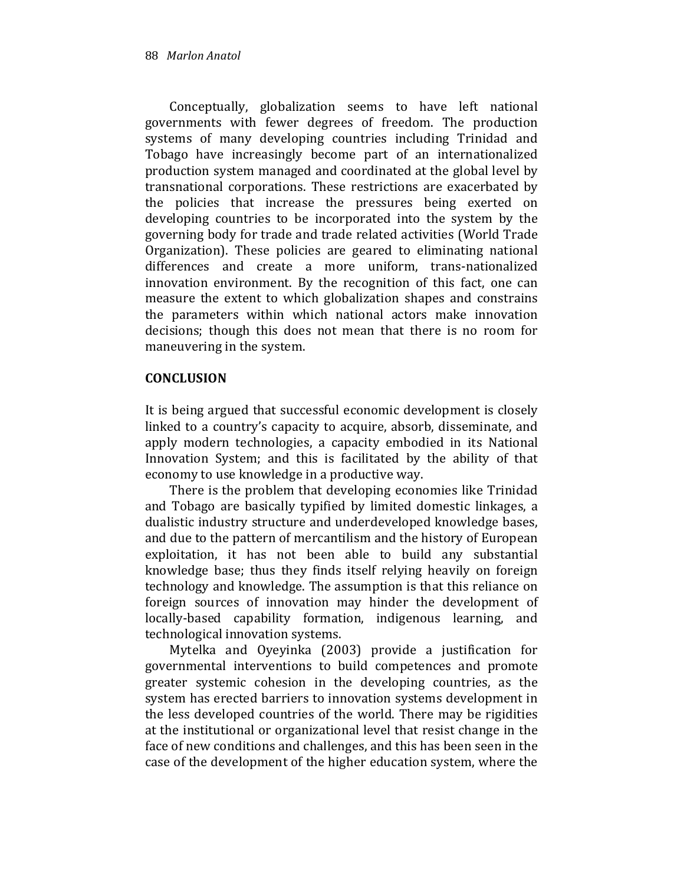Conceptually, globalization seems to have left national governments with fewer degrees of freedom. The production systems of many developing countries including Trinidad and Tobago have increasingly become part of an internationalized production system managed and coordinated at the global level by transnational corporations. These restrictions are exacerbated by the policies that increase the pressures being exerted on developing countries to be incorporated into the system by the governing body for trade and trade related activities (World Trade Organization). These policies are geared to eliminating national differences and create a more uniform, trans-nationalized innovation environment. By the recognition of this fact, one can measure the extent to which globalization shapes and constrains the parameters within which national actors make innovation decisions; though this does not mean that there is no room for maneuvering in the system.

## **CONCLUSION**

It is being argued that successful economic development is closely linked to a country's capacity to acquire, absorb, disseminate, and apply modern technologies, a capacity embodied in its National Innovation System; and this is facilitated by the ability of that economy to use knowledge in a productive way.

There is the problem that developing economies like Trinidad and Tobago are basically typified by limited domestic linkages, a dualistic industry structure and underdeveloped knowledge bases, and due to the pattern of mercantilism and the history of European exploitation, it has not been able to build any substantial knowledge base; thus they finds itself relying heavily on foreign technology and knowledge. The assumption is that this reliance on foreign sources of innovation may hinder the development of locally-based capability formation, indigenous learning, and technological innovation systems.

Mytelka and Oyeyinka (2003) provide a justification for governmental interventions to build competences and promote greater systemic cohesion in the developing countries, as the system has erected barriers to innovation systems development in the less developed countries of the world. There may be rigidities at the institutional or organizational level that resist change in the face of new conditions and challenges, and this has been seen in the case of the development of the higher education system, where the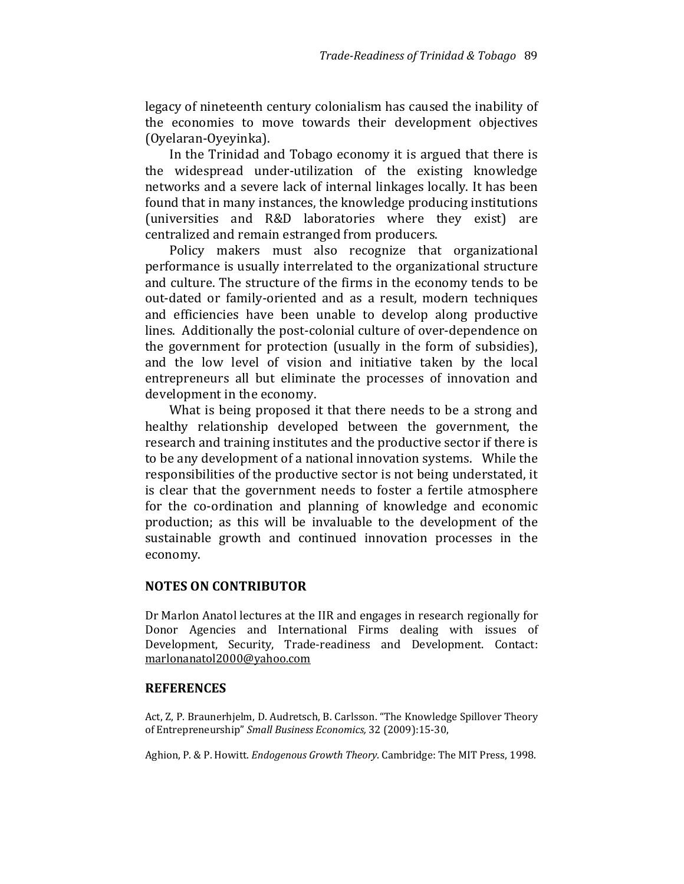legacy of nineteenth century colonialism has caused the inability of the economies to move towards their development objectives (Oyelaran-Oyeyinka).

In the Trinidad and Tobago economy it is argued that there is the widespread under-utilization of the existing knowledge networks and a severe lack of internal linkages locally. It has been found that in many instances, the knowledge producing institutions (universities and R&D laboratories where they exist) are centralized and remain estranged from producers.

Policy makers must also recognize that organizational performance is usually interrelated to the organizational structure and culture. The structure of the firms in the economy tends to be out-dated or family-oriented and as a result, modern techniques and efficiencies have been unable to develop along productive lines. Additionally the post-colonial culture of over-dependence on the government for protection (usually in the form of subsidies), and the low level of vision and initiative taken by the local entrepreneurs all but eliminate the processes of innovation and development in the economy.

What is being proposed it that there needs to be a strong and healthy relationship developed between the government, the research and training institutes and the productive sector if there is to be any development of a national innovation systems. While the responsibilities of the productive sector is not being understated, it is clear that the government needs to foster a fertile atmosphere for the co-ordination and planning of knowledge and economic production; as this will be invaluable to the development of the sustainable growth and continued innovation processes in the economy.

#### NOTES ON CONTRIBUTOR

Dr Marlon Anatol lectures at the IIR and engages in research regionally for Donor Agencies and International Firms dealing with issues of Development, Security, Trade-readiness and Development. Contact: marlonanatol2000@yahoo.com

#### **REFERENCES**

Act, Z, P. Braunerhjelm, D. Audretsch, B. Carlsson. "The Knowledge Spillover Theory of Entrepreneurship" Small Business Economics, 32 (2009):15-30,

Aghion, P. & P. Howitt. Endogenous Growth Theory. Cambridge: The MIT Press, 1998.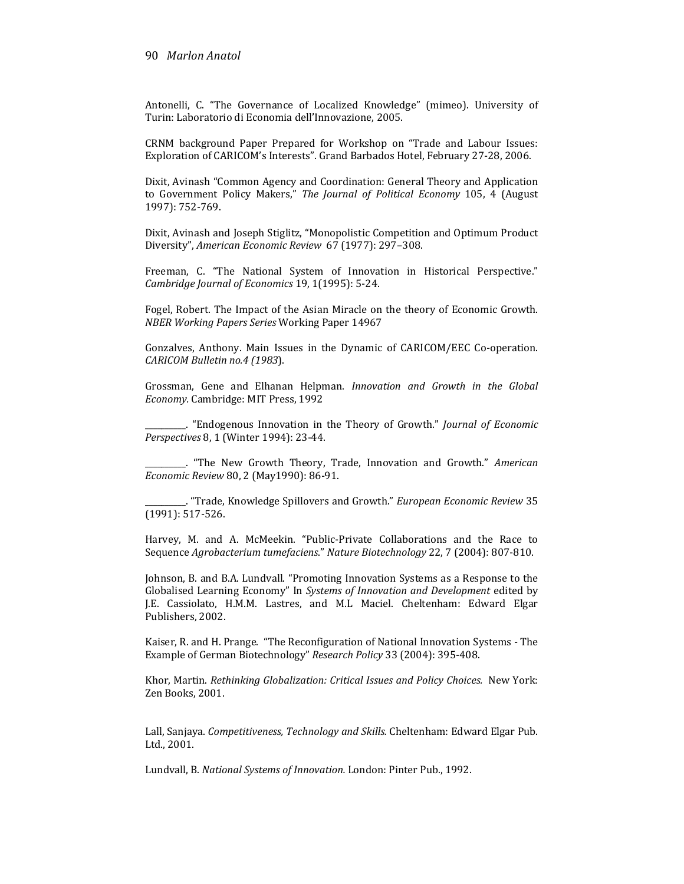#### 90 Marlon Anatol

Antonelli, C. "The Governance of Localized Knowledge" (mimeo). University of Turin: Laboratorio di Economia dell'Innovazione, 2005.

CRNM background Paper Prepared for Workshop on "Trade and Labour Issues: Exploration of CARICOM's Interests". Grand Barbados Hotel, February 27-28, 2006.

Dixit, Avinash "Common Agency and Coordination: General Theory and Application to Government Policy Makers," The Journal of Political Economy 105, 4 (August 1997): 752-769.

Dixit, Avinash and Joseph Stiglitz, "Monopolistic Competition and Optimum Product Diversity", American Economic Review 67 (1977): 297–308.

Freeman, C. "The National System of Innovation in Historical Perspective." Cambridge Journal of Economics 19, 1(1995): 5-24.

Fogel, Robert. The Impact of the Asian Miracle on the theory of Economic Growth. NBER Working Papers Series Working Paper 14967

Gonzalves, Anthony. Main Issues in the Dynamic of CARICOM/EEC Co-operation. CARICOM Bulletin no.4 (1983).

Grossman, Gene and Elhanan Helpman. Innovation and Growth in the Global Economy. Cambridge: MIT Press, 1992

. "Endogenous Innovation in the Theory of Growth." Journal of Economic Perspectives 8, 1 (Winter 1994): 23-44.

\_\_\_\_\_\_\_\_\_\_. "The New Growth Theory, Trade, Innovation and Growth." American Economic Review 80, 2 (May1990): 86-91.

\_\_\_\_\_\_\_\_\_\_. "Trade, Knowledge Spillovers and Growth." European Economic Review 35 (1991): 517-526.

Harvey, M. and A. McMeekin. "Public-Private Collaborations and the Race to Sequence Agrobacterium tumefaciens." Nature Biotechnology 22, 7 (2004): 807-810.

Johnson, B. and B.A. Lundvall. "Promoting Innovation Systems as a Response to the Globalised Learning Economy" In Systems of Innovation and Development edited by J.E. Cassiolato, H.M.M. Lastres, and M.L Maciel. Cheltenham: Edward Elgar Publishers, 2002.

Kaiser, R. and H. Prange. "The Reconfiguration of National Innovation Systems - The Example of German Biotechnology" Research Policy 33 (2004): 395-408.

Khor, Martin. Rethinking Globalization: Critical Issues and Policy Choices. New York: Zen Books, 2001.

Lall, Sanjaya. Competitiveness, Technology and Skills. Cheltenham: Edward Elgar Pub. Ltd., 2001.

Lundvall, B. National Systems of Innovation. London: Pinter Pub., 1992.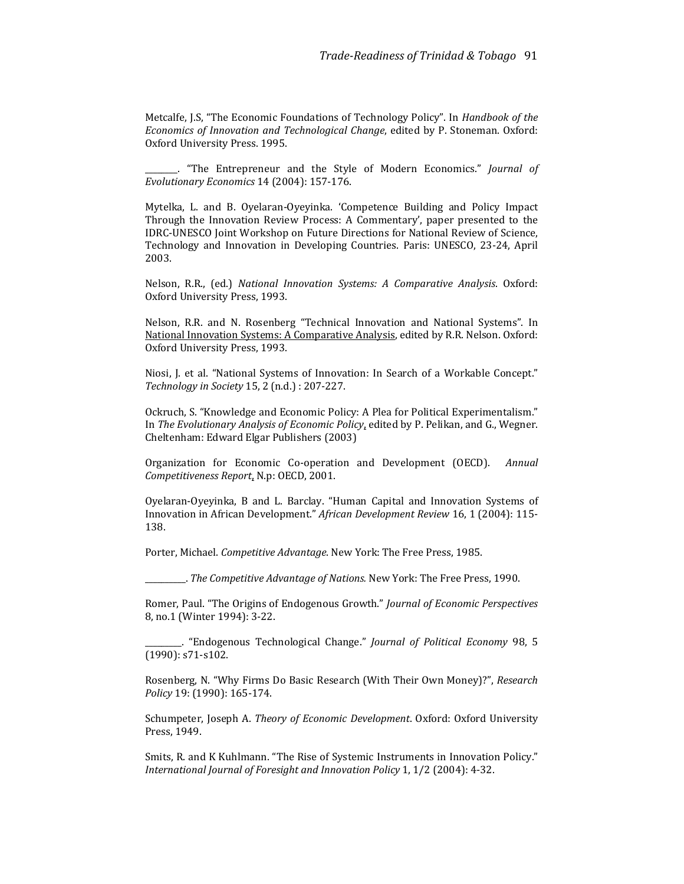Metcalfe, J.S, "The Economic Foundations of Technology Policy". In Handbook of the Economics of Innovation and Technological Change, edited by P. Stoneman. Oxford: Oxford University Press. 1995.

"The Entrepreneur and the Style of Modern Economics." Journal of Evolutionary Economics 14 (2004): 157-176.

Mytelka, L. and B. Oyelaran-Oyeyinka. 'Competence Building and Policy Impact Through the Innovation Review Process: A Commentary', paper presented to the IDRC-UNESCO Joint Workshop on Future Directions for National Review of Science, Technology and Innovation in Developing Countries. Paris: UNESCO, 23-24, April 2003.

Nelson, R.R., (ed.) National Innovation Systems: A Comparative Analysis. Oxford: Oxford University Press, 1993.

Nelson, R.R. and N. Rosenberg "Technical Innovation and National Systems". In National Innovation Systems: A Comparative Analysis, edited by R.R. Nelson. Oxford: Oxford University Press, 1993.

Niosi, J. et al. "National Systems of Innovation: In Search of a Workable Concept." Technology in Society 15, 2 (n.d.) : 207-227.

Ockruch, S. "Knowledge and Economic Policy: A Plea for Political Experimentalism." In The Evolutionary Analysis of Economic Policy, edited by P. Pelikan, and G., Wegner. Cheltenham: Edward Elgar Publishers (2003)

Organization for Economic Co-operation and Development (OECD). Annual Competitiveness Report, N.p: OECD, 2001.

Oyelaran-Oyeyinka, B and L. Barclay. "Human Capital and Innovation Systems of Innovation in African Development." African Development Review 16, 1 (2004): 115- 138.

Porter, Michael. Competitive Advantage. New York: The Free Press, 1985.

\_\_\_\_\_\_\_\_\_\_. The Competitive Advantage of Nations. New York: The Free Press, 1990.

Romer, Paul. "The Origins of Endogenous Growth." Journal of Economic Perspectives 8, no.1 (Winter 1994): 3-22.

\_\_\_\_\_\_\_\_\_. "Endogenous Technological Change." Journal of Political Economy 98, 5 (1990): s71-s102.

Rosenberg, N. "Why Firms Do Basic Research (With Their Own Money)?", Research Policy 19: (1990): 165-174.

Schumpeter, Joseph A. Theory of Economic Development. Oxford: Oxford University Press, 1949.

Smits, R. and K Kuhlmann. "The Rise of Systemic Instruments in Innovation Policy." International Journal of Foresight and Innovation Policy 1, 1/2 (2004): 4-32.